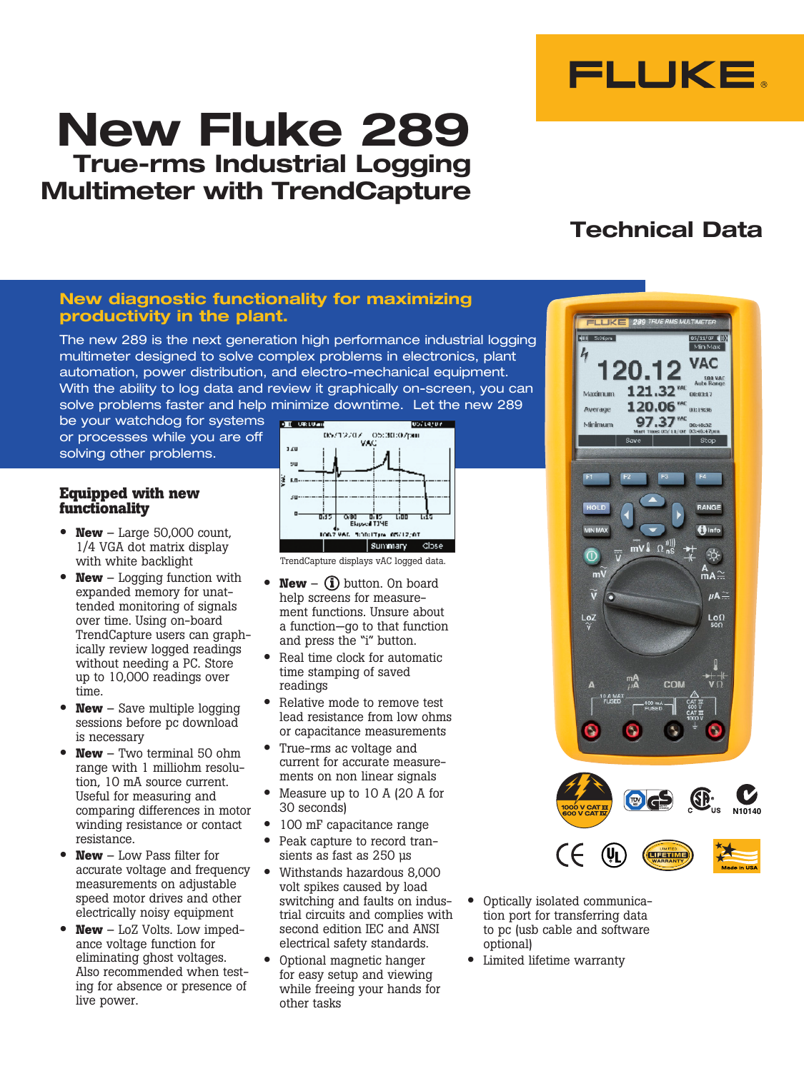

# **New Fluke 289 True-rms Industrial Logging Multimeter with TrendCapture**

### **New diagnostic functionality for maximizing productivity in the plant.**

The new 289 is the next generation high performance industrial logging multimeter designed to solve complex problems in electronics, plant automation, power distribution, and electro-mechanical equipment. With the ability to log data and review it graphically on-screen, you can solve problems faster and help minimize downtime. Let the new 289

be your watchdog for systems or processes while you are off solving other problems.

#### **Equipped with new functionality**

- **New** Large 50,000 count, 1/4 VGA dot matrix display with white backlight
- **New** Logging function with expanded memory for unattended monitoring of signals over time. Using on-board TrendCapture users can graphically review logged readings without needing a PC. Store up to 10,000 readings over time.
- **New** Save multiple logging sessions before pc download is necessary
- **New** Two terminal 50 ohm range with 1 milliohm resolution, 10 mA source current. Useful for measuring and comparing differences in motor winding resistance or contact resistance.
- **New** Low Pass filter for accurate voltage and frequency measurements on adjustable speed motor drives and other electrically noisy equipment
- **New** LoZ Volts. Low impedance voltage function for eliminating ghost voltages. Also recommended when testing for absence or presence of live power.



TrendCapture displays vAC logged data.

- **New**  $(\mathbf{i})$  button. On board help screens for measurement functions. Unsure about a function—go to that function and press the "i" button.
- Real time clock for automatic time stamping of saved readings
- Relative mode to remove test lead resistance from low ohms or capacitance measurements
- True-rms ac voltage and current for accurate measurements on non linear signals
- Measure up to 10 A (20 A for 30 seconds)
- 100 mF capacitance range
- Peak capture to record transients as fast as 250 µs
- Withstands hazardous 8,000 volt spikes caused by load switching and faults on industrial circuits and complies with second edition IEC and ANSI electrical safety standards.
- Optional magnetic hanger for easy setup and viewing while freeing your hands for other tasks

# **Technical Data**



- Optically isolated communication port for transferring data to pc (usb cable and software optional)
- Limited lifetime warranty